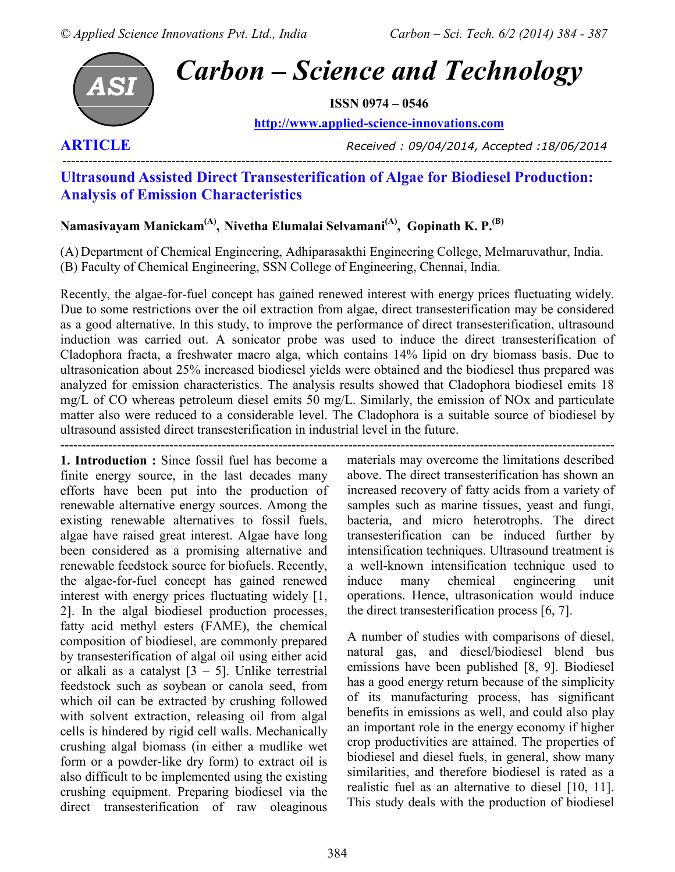

# *Carbon – Science and Technology*

**ISSN 0974 – 0546** 

**http://www.applied-science-innovations.com**

**ARTICLE** *Received : 09/04/2014, Accepted :18/06/2014*

# ------------------------------------------------------------------------------------------------------------------------------ **Ultrasound Assisted Direct Transesterification of Algae for Biodiesel Production: Analysis of Emission Characteristics**

# **Namasivayam Manickam(A) , Nivetha Elumalai Selvamani(A), Gopinath K. P.(B)**

(A) Department of Chemical Engineering, Adhiparasakthi Engineering College, Melmaruvathur, India. (B) Faculty of Chemical Engineering, SSN College of Engineering, Chennai, India.

Recently, the algae-for-fuel concept has gained renewed interest with energy prices fluctuating widely. Due to some restrictions over the oil extraction from algae, direct transesterification may be considered as a good alternative. In this study, to improve the performance of direct transesterification, ultrasound induction was carried out. A sonicator probe was used to induce the direct transesterification of Cladophora fracta, a freshwater macro alga, which contains 14% lipid on dry biomass basis. Due to ultrasonication about 25% increased biodiesel yields were obtained and the biodiesel thus prepared was analyzed for emission characteristics. The analysis results showed that Cladophora biodiesel emits 18 mg/L of CO whereas petroleum diesel emits 50 mg/L. Similarly, the emission of NOx and particulate matter also were reduced to a considerable level. The Cladophora is a suitable source of biodiesel by ultrasound assisted direct transesterification in industrial level in the future.

-------------------------------------------------------------------------------------------------------------------------------

**1. Introduction :** Since fossil fuel has become a finite energy source, in the last decades many efforts have been put into the production of renewable alternative energy sources. Among the existing renewable alternatives to fossil fuels, algae have raised great interest. Algae have long been considered as a promising alternative and renewable feedstock source for biofuels. Recently, the algae-for-fuel concept has gained renewed interest with energy prices fluctuating widely [1, 2]. In the algal biodiesel production processes, fatty acid methyl esters (FAME), the chemical composition of biodiesel, are commonly prepared by transesterification of algal oil using either acid or alkali as a catalyst  $[3 - 5]$ . Unlike terrestrial feedstock such as soybean or canola seed, from which oil can be extracted by crushing followed with solvent extraction, releasing oil from algal cells is hindered by rigid cell walls. Mechanically crushing algal biomass (in either a mudlike wet form or a powder-like dry form) to extract oil is also difficult to be implemented using the existing crushing equipment. Preparing biodiesel via the direct transesterification of raw oleaginous

materials may overcome the limitations described above. The direct transesterification has shown an increased recovery of fatty acids from a variety of samples such as marine tissues, yeast and fungi, bacteria, and micro heterotrophs. The direct transesterification can be induced further by intensification techniques. Ultrasound treatment is a well-known intensification technique used to induce many chemical engineering unit operations. Hence, ultrasonication would induce the direct transesterification process [6, 7].

A number of studies with comparisons of diesel, natural gas, and diesel/biodiesel blend bus emissions have been published [8, 9]. Biodiesel has a good energy return because of the simplicity of its manufacturing process, has significant benefits in emissions as well, and could also play an important role in the energy economy if higher crop productivities are attained. The properties of biodiesel and diesel fuels, in general, show many similarities, and therefore biodiesel is rated as a realistic fuel as an alternative to diesel [10, 11]. This study deals with the production of biodiesel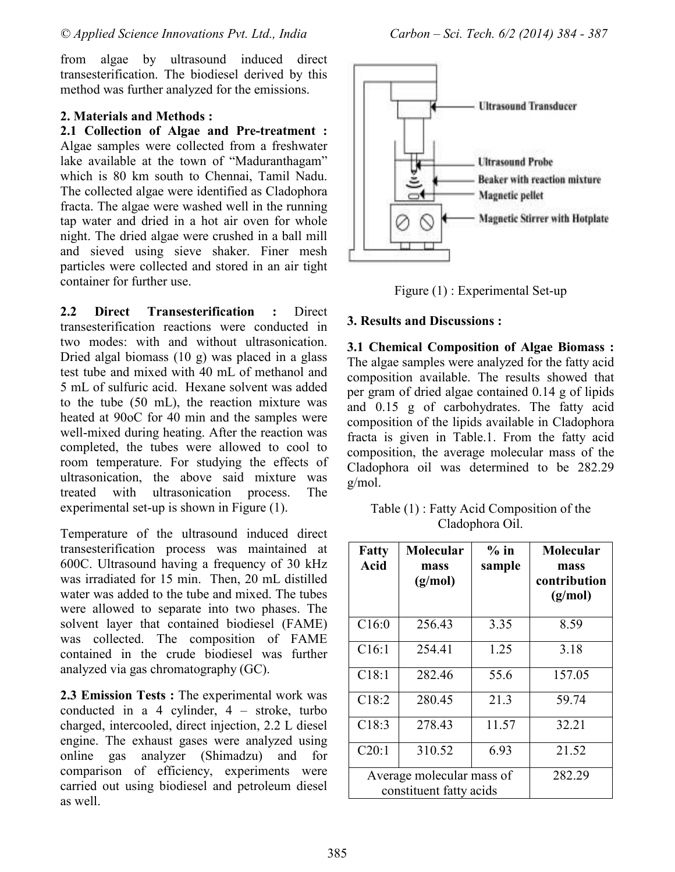from algae by ultrasound induced direct transesterification. The biodiesel derived by this method was further analyzed for the emissions.

## **2. Materials and Methods :**

**2.1 Collection of Algae and Pre-treatment :**  Algae samples were collected from a freshwater lake available at the town of "Maduranthagam" which is 80 km south to Chennai, Tamil Nadu. The collected algae were identified as Cladophora fracta. The algae were washed well in the running tap water and dried in a hot air oven for whole night. The dried algae were crushed in a ball mill and sieved using sieve shaker. Finer mesh particles were collected and stored in an air tight container for further use.

**2.2 Direct Transesterification :** Direct transesterification reactions were conducted in two modes: with and without ultrasonication. Dried algal biomass (10 g) was placed in a glass test tube and mixed with 40 mL of methanol and 5 mL of sulfuric acid. Hexane solvent was added to the tube (50 mL), the reaction mixture was heated at 90oC for 40 min and the samples were well-mixed during heating. After the reaction was completed, the tubes were allowed to cool to room temperature. For studying the effects of ultrasonication, the above said mixture was treated with ultrasonication process. The experimental set-up is shown in Figure (1).

Temperature of the ultrasound induced direct transesterification process was maintained at 600C. Ultrasound having a frequency of 30 kHz was irradiated for 15 min. Then, 20 mL distilled water was added to the tube and mixed. The tubes were allowed to separate into two phases. The solvent layer that contained biodiesel (FAME) was collected. The composition of FAME contained in the crude biodiesel was further analyzed via gas chromatography (GC).

**2.3 Emission Tests :** The experimental work was conducted in a 4 cylinder, 4 – stroke, turbo charged, intercooled, direct injection, 2.2 L diesel engine. The exhaust gases were analyzed using online gas analyzer (Shimadzu) and for comparison of efficiency, experiments were carried out using biodiesel and petroleum diesel as well.



Figure (1) : Experimental Set-up

## **3. Results and Discussions :**

**3.1 Chemical Composition of Algae Biomass :**  The algae samples were analyzed for the fatty acid composition available. The results showed that per gram of dried algae contained 0.14 g of lipids and 0.15 g of carbohydrates. The fatty acid composition of the lipids available in Cladophora fracta is given in Table.1. From the fatty acid composition, the average molecular mass of the Cladophora oil was determined to be 282.29 g/mol.

Table (1) : Fatty Acid Composition of the Cladophora Oil.

| <b>Fatty</b><br><b>Acid</b>                          | <b>Molecular</b><br>mass<br>(g/mol) | $%$ in<br>sample | Molecular<br>mass<br>contribution<br>(g/mol) |
|------------------------------------------------------|-------------------------------------|------------------|----------------------------------------------|
| C16:0                                                | 256.43                              | 3.35             | 8.59                                         |
| C16:1                                                | 254.41                              | 1.25             | 3.18                                         |
| C18:1                                                | 282.46                              | 55.6             | 157.05                                       |
| C18:2                                                | 280.45                              | 21.3             | 59.74                                        |
| C18:3                                                | 278.43                              | 11.57            | 32.21                                        |
| C20:1                                                | 310.52                              | 6.93             | 21.52                                        |
| Average molecular mass of<br>constituent fatty acids |                                     |                  | 282.29                                       |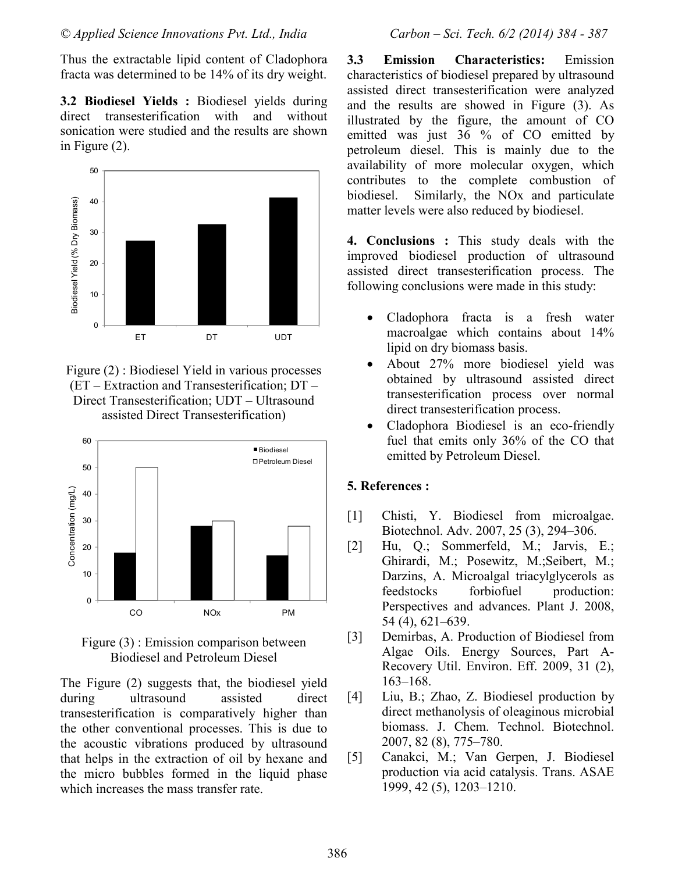Thus the extractable lipid content of Cladophora fracta was determined to be 14% of its dry weight.

**3.2 Biodiesel Yields :** Biodiesel yields during direct transesterification with and without sonication were studied and the results are shown in Figure (2).



Figure (2) : Biodiesel Yield in various processes (ET – Extraction and Transesterification; DT – Direct Transesterification; UDT – Ultrasound assisted Direct Transesterification)



Figure (3) : Emission comparison between Biodiesel and Petroleum Diesel

The Figure (2) suggests that, the biodiesel yield during ultrasound assisted direct transesterification is comparatively higher than the other conventional processes. This is due to the acoustic vibrations produced by ultrasound that helps in the extraction of oil by hexane and the micro bubbles formed in the liquid phase which increases the mass transfer rate.

**3.3 Emission Characteristics:** Emission characteristics of biodiesel prepared by ultrasound assisted direct transesterification were analyzed and the results are showed in Figure (3). As illustrated by the figure, the amount of CO emitted was just 36 % of CO emitted by petroleum diesel. This is mainly due to the availability of more molecular oxygen, which contributes to the complete combustion of biodiesel. Similarly, the NOx and particulate matter levels were also reduced by biodiesel.

**4. Conclusions :** This study deals with the improved biodiesel production of ultrasound assisted direct transesterification process. The following conclusions were made in this study:

- Cladophora fracta is a fresh water macroalgae which contains about 14% lipid on dry biomass basis.
- About 27% more biodiesel yield was obtained by ultrasound assisted direct transesterification process over normal direct transesterification process.
- Cladophora Biodiesel is an eco-friendly fuel that emits only 36% of the CO that emitted by Petroleum Diesel.

# **5. References :**

- [1] Chisti, Y. Biodiesel from microalgae. Biotechnol. Adv. 2007, 25 (3), 294–306.
- [2] Hu, Q.; Sommerfeld, M.; Jarvis, E.; Ghirardi, M.; Posewitz, M.;Seibert, M.; Darzins, A. Microalgal triacylglycerols as feedstocks forbiofuel production: Perspectives and advances. Plant J. 2008, 54 (4), 621–639.
- [3] Demirbas, A. Production of Biodiesel from Algae Oils. Energy Sources, Part A-Recovery Util. Environ. Eff. 2009, 31 (2), 163–168.
- [4] Liu, B.; Zhao, Z. Biodiesel production by direct methanolysis of oleaginous microbial biomass. J. Chem. Technol. Biotechnol. 2007, 82 (8), 775–780.
- [5] Canakci, M.; Van Gerpen, J. Biodiesel production via acid catalysis. Trans. ASAE 1999, 42 (5), 1203–1210.